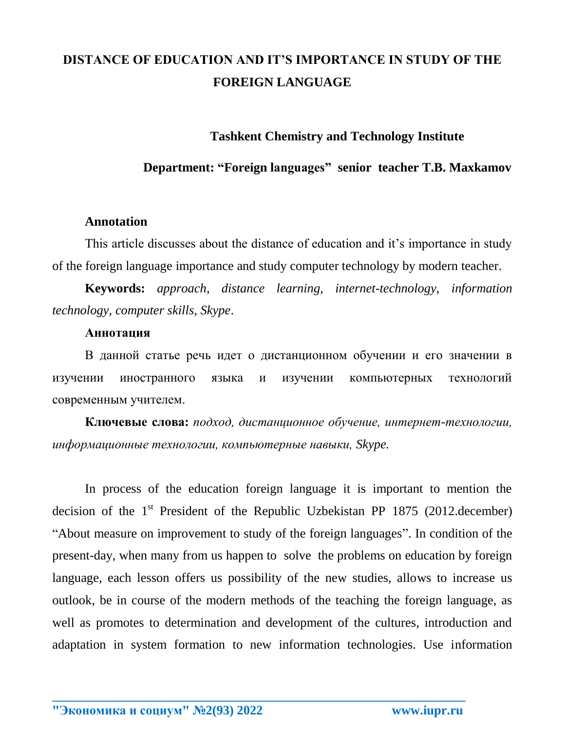# **DISTANCE OF EDUCATION AND IT'S IMPORTANCE IN STUDY OF THE FOREIGN LANGUAGE**

## **Tashkent Chemistry and Technology Institute**

### **Department: "Foreign languages" senior teacher T.B. Maxkamov**

#### **Annotation**

This article discusses about the distance of education and it's importance in study of the foreign language importance and study computer technology by modern teacher.

**Keywords:** *approach, distance learning, internet-technology, information technology, computer skills, Skype*.

#### **Аннотация**

В данной статье речь идет о дистанционном обучении и его значении в изучении иностранного языка и изучении компьютерных технологий современным учителем.

**Ключевые слова:** *подход, дистанционное обучение, интернет-технологии, информационные технологии, компьютерные навыки, Skype.*

In process of the education foreign language it is important to mention the decision of the  $1<sup>st</sup>$  President of the Republic Uzbekistan PP 1875 (2012.december) "About measure on improvement to study of the foreign languages". In condition of the present-day, when many from us happen to solve the problems on education by foreign language, each lesson offers us possibility of the new studies, allows to increase us outlook, be in course of the modern methods of the teaching the foreign language, as well as promotes to determination and development of the cultures, introduction and adaptation in system formation to new information technologies. Use information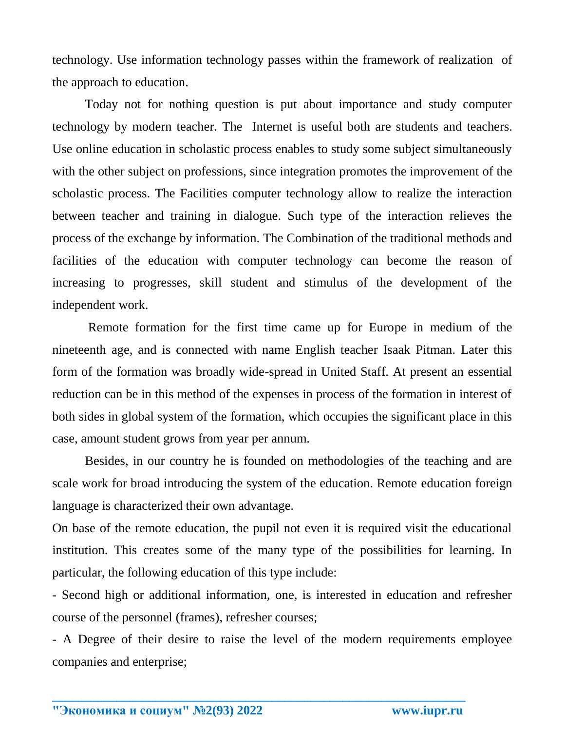technology. Use information technology passes within the framework of realization of the approach to education.

Today not for nothing question is put about importance and study computer technology by modern teacher. The Internet is useful both are students and teachers. Use online education in scholastic process enables to study some subject simultaneously with the other subject on professions, since integration promotes the improvement of the scholastic process. The Facilities computer technology allow to realize the interaction between teacher and training in dialogue. Such type of the interaction relieves the process of the exchange by information. The Combination of the traditional methods and facilities of the education with computer technology can become the reason of increasing to progresses, skill student and stimulus of the development of the independent work.

Remote formation for the first time came up for Europe in medium of the nineteenth age, and is connected with name English teacher Isaak Pitman. Later this form of the formation was broadly wide-spread in United Staff. At present an essential reduction can be in this method of the expenses in process of the formation in interest of both sides in global system of the formation, which occupies the significant place in this case, amount student grows from year per annum.

Besides, in our country he is founded on methodologies of the teaching and are scale work for broad introducing the system of the education. Remote education foreign language is characterized their own advantage.

On base of the remote education, the pupil not even it is required visit the educational institution. This creates some of the many type of the possibilities for learning. In particular, the following education of this type include:

- Second high or additional information, one, is interested in education and refresher course of the personnel (frames), refresher courses;

- A Degree of their desire to raise the level of the modern requirements employee companies and enterprise;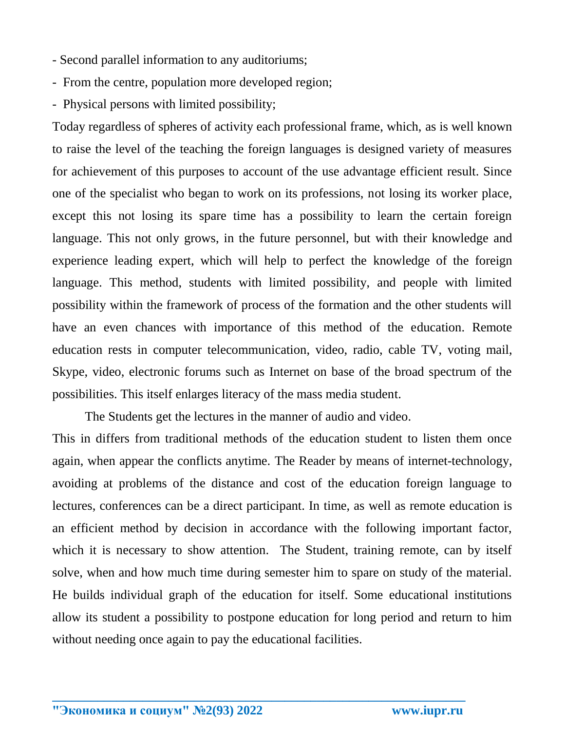- Second parallel information to any auditoriums;
- From the centre, population more developed region;
- Physical persons with limited possibility;

Today regardless of spheres of activity each professional frame, which, as is well known to raise the level of the teaching the foreign languages is designed variety of measures for achievement of this purposes to account of the use advantage efficient result. Since one of the specialist who began to work on its professions, not losing its worker place, except this not losing its spare time has a possibility to learn the certain foreign language. This not only grows, in the future personnel, but with their knowledge and experience leading expert, which will help to perfect the knowledge of the foreign language. This method, students with limited possibility, and people with limited possibility within the framework of process of the formation and the other students will have an even chances with importance of this method of the education. Remote education rests in computer telecommunication, video, radio, cable TV, voting mail, Skype, video, electronic forums such as Internet on base of the broad spectrum of the possibilities. This itself enlarges literacy of the mass media student.

The Students get the lectures in the manner of audio and video.

This in differs from traditional methods of the education student to listen them once again, when appear the conflicts anytime. The Reader by means of internet-technology, avoiding at problems of the distance and cost of the education foreign language to lectures, conferences can be a direct participant. In time, as well as remote education is an efficient method by decision in accordance with the following important factor, which it is necessary to show attention. The Student, training remote, can by itself solve, when and how much time during semester him to spare on study of the material. He builds individual graph of the education for itself. Some educational institutions allow its student a possibility to postpone education for long period and return to him without needing once again to pay the educational facilities.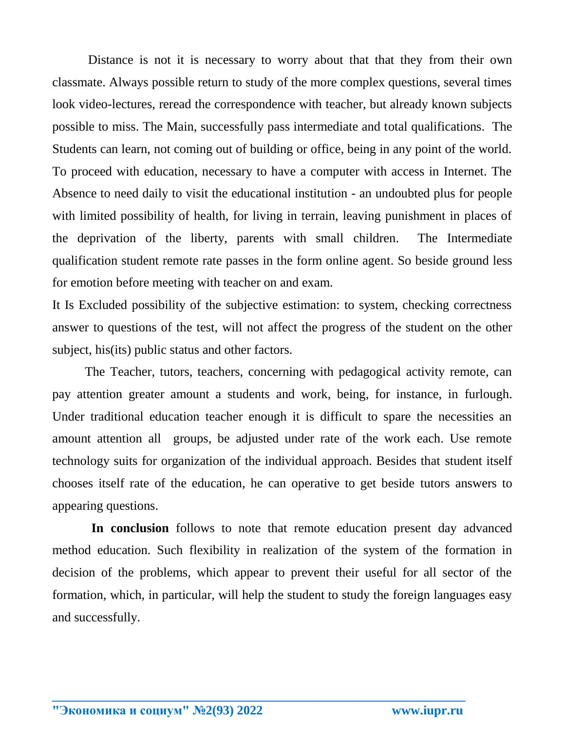Distance is not it is necessary to worry about that that they from their own classmate. Always possible return to study of the more complex questions, several times look video-lectures, reread the correspondence with teacher, but already known subjects possible to miss. The Main, successfully pass intermediate and total qualifications. The Students can learn, not coming out of building or office, being in any point of the world. To proceed with education, necessary to have a computer with access in Internet. The Absence to need daily to visit the educational institution - an undoubted plus for people with limited possibility of health, for living in terrain, leaving punishment in places of the deprivation of the liberty, parents with small children. The Intermediate qualification student remote rate passes in the form online agent. So beside ground less for emotion before meeting with teacher on and exam.

It Is Excluded possibility of the subjective estimation: to system, checking correctness answer to questions of the test, will not affect the progress of the student on the other subject, his(its) public status and other factors.

The Teacher, tutors, teachers, concerning with pedagogical activity remote, can pay attention greater amount a students and work, being, for instance, in furlough. Under traditional education teacher enough it is difficult to spare the necessities an amount attention all groups, be adjusted under rate of the work each. Use remote technology suits for organization of the individual approach. Besides that student itself chooses itself rate of the education, he can operative to get beside tutors answers to appearing questions.

 **In conclusion** follows to note that remote education present day advanced method education. Such flexibility in realization of the system of the formation in decision of the problems, which appear to prevent their useful for all sector of the formation, which, in particular, will help the student to study the foreign languages easy and successfully.